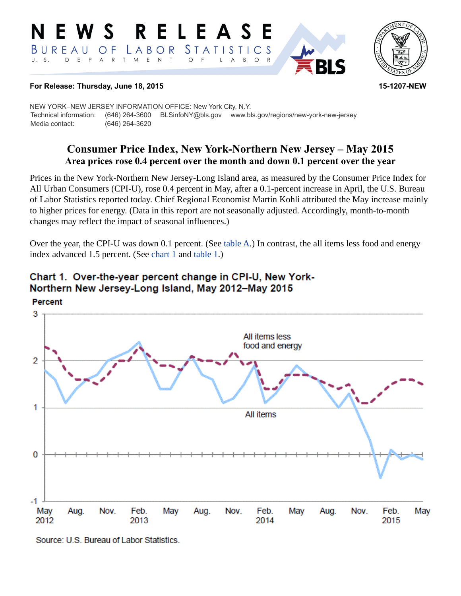#### RELEASE E W S *STATISTICS* BUREAU  $\overline{O}$  F LABOR D E P A R T M  $E$  N  $\top$  $U. S.$  $\circ$  $B$  $\circ$  $\mathsf{L}$  $\overline{A}$



#### **For Release: Thursday, June 18, 2015 15-1207-NEW**

NEW YORK–NEW JERSEY INFORMATION OFFICE: New York City, N.Y. Technical information: (646) 264-3600 BLSinfoNY@bls.gov www.bls.gov/regions/new-york-new-jersey Media contact: (646) 264-3620

# **Consumer Price Index, New York-Northern New Jersey – May 2015 Area prices rose 0.4 percent over the month and down 0.1 percent over the year**

Prices in the New York-Northern New Jersey-Long Island area, as measured by the Consumer Price Index for All Urban Consumers (CPI-U), rose 0.4 percent in May, after a 0.1-percent increase in April, the U.S. Bureau of Labor Statistics reported today. Chief Regional Economist Martin Kohli attributed the May increase mainly to higher prices for energy. (Data in this report are not seasonally adjusted. Accordingly, month-to-month changes may reflect the impact of seasonal influences.)

Over the year, the CPI-U was down 0.1 percent. (See [table A.](#page-1-0)) In contrast, the all items less food and energy index advanced 1.5 percent. (See [chart 1](#page-0-0) and [table 1.](#page-3-0))



# <span id="page-0-0"></span>Chart 1. Over-the-year percent change in CPI-U, New York-Northern New Jersey-Long Island, May 2012-May 2015

Source: U.S. Bureau of Labor Statistics.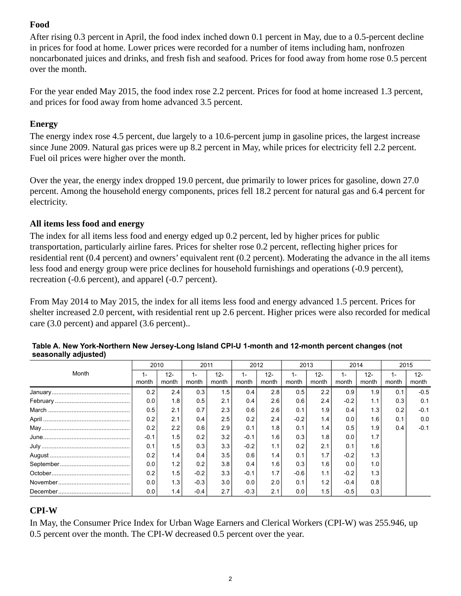## **Food**

After rising 0.3 percent in April, the food index inched down 0.1 percent in May, due to a 0.5-percent decline in prices for food at home. Lower prices were recorded for a number of items including ham, nonfrozen noncarbonated juices and drinks, and fresh fish and seafood. Prices for food away from home rose 0.5 percent over the month.

For the year ended May 2015, the food index rose 2.2 percent. Prices for food at home increased 1.3 percent, and prices for food away from home advanced 3.5 percent.

### **Energy**

The energy index rose 4.5 percent, due largely to a 10.6-percent jump in gasoline prices, the largest increase since June 2009. Natural gas prices were up 8.2 percent in May, while prices for electricity fell 2.2 percent. Fuel oil prices were higher over the month.

Over the year, the energy index dropped 19.0 percent, due primarily to lower prices for gasoline, down 27.0 percent. Among the household energy components, prices fell 18.2 percent for natural gas and 6.4 percent for electricity.

## **All items less food and energy**

The index for all items less food and energy edged up 0.2 percent, led by higher prices for public transportation, particularly airline fares. Prices for shelter rose 0.2 percent, reflecting higher prices for residential rent (0.4 percent) and owners' equivalent rent (0.2 percent). Moderating the advance in the all items less food and energy group were price declines for household furnishings and operations (-0.9 percent), recreation (-0.6 percent), and apparel (-0.7 percent).

From May 2014 to May 2015, the index for all items less food and energy advanced 1.5 percent. Prices for shelter increased 2.0 percent, with residential rent up 2.6 percent. Higher prices were also recorded for medical care (3.0 percent) and apparel (3.6 percent)..

|       | 2010   |        | 2011   |        | 2012   |        | 2013   |        | 2014   |        | 2015  |        |
|-------|--------|--------|--------|--------|--------|--------|--------|--------|--------|--------|-------|--------|
| Month | 1-     | $12 -$ | $1-$   | $12 -$ | 1 –    | $12 -$ | $1 -$  | $12 -$ | 1-     | $12 -$ | $1 -$ | $12 -$ |
|       | month  | month  | month  | month  | month  | month  | month  | month  | month  | month  | month | month  |
|       | 0.2    | 2.4    | 0.3    | 1.5    | 0.4    | 2.8    | 0.5    | 2.2    | 0.9    | 1.9    | 0.1   | $-0.5$ |
|       | 0.0    | 1.8    | 0.5    | 2.1    | 0.4    | 2.6    | 0.6    | 2.4    | $-0.2$ | 1.1    | 0.3   | 0.1    |
|       | 0.5    | 2.1    | 0.7    | 2.3    | 0.6    | 2.6    | 0.1    | 1.9    | 0.4    | 1.3    | 0.2   | $-0.1$ |
|       | 0.2    | 2.1    | 0.4    | 2.5    | 0.2    | 2.4    | $-0.2$ | 1.4    | 0.0    | 1.6    | 0.1   | 0.0    |
|       | 0.2    | 2.2    | 0.6    | 2.9    | 0.1    | 1.8    | 0.1    | 1.4    | 0.5    | 1.9    | 0.4   | $-0.1$ |
|       | $-0.1$ | 1.5    | 0.2    | 3.2    | $-0.1$ | 1.6    | 0.3    | 1.8    | 0.0    | 1.7    |       |        |
|       | 0.1    | 1.5    | 0.3    | 3.3    | $-0.2$ | 1.1    | 0.2    | 2.1    | 0.1    | 1.6    |       |        |
|       | 0.2    | 1.4    | 0.4    | 3.5    | 0.6    | 1.4    | 0.1    | 1.7    | $-0.2$ | 1.3    |       |        |
|       | 0.0    | 1.2    | 0.2    | 3.8    | 0.4    | 1.6    | 0.3    | 1.6    | 0.0    | 1.0    |       |        |
|       | 0.2    | 1.5    | $-0.2$ | 3.3    | $-0.1$ | 1.7    | $-0.6$ | 1.1    | $-0.2$ | 1.3    |       |        |
|       | 0.0    | 1.3    | $-0.3$ | 3.0    | 0.0    | 2.0    | 0.1    | 1.2    | $-0.4$ | 0.8    |       |        |
|       | 0.0    | 1.4    | $-0.4$ | 2.7    | $-0.3$ | 2.1    | 0.0    | 1.5    | $-0.5$ | 0.3    |       |        |

#### <span id="page-1-0"></span>**Table A. New York-Northern New Jersey-Long Island CPI-U 1-month and 12-month percent changes (not seasonally adjusted)**

#### **CPI-W**

In May, the Consumer Price Index for Urban Wage Earners and Clerical Workers (CPI-W) was 255.946, up 0.5 percent over the month. The CPI-W decreased 0.5 percent over the year.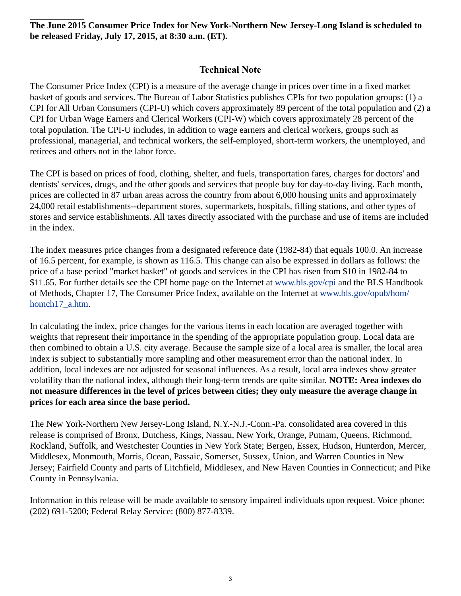**The June 2015 Consumer Price Index for New York-Northern New Jersey-Long Island is scheduled to be released Friday, July 17, 2015, at 8:30 a.m. (ET).**

### **Technical Note**

The Consumer Price Index (CPI) is a measure of the average change in prices over time in a fixed market basket of goods and services. The Bureau of Labor Statistics publishes CPIs for two population groups: (1) a CPI for All Urban Consumers (CPI-U) which covers approximately 89 percent of the total population and (2) a CPI for Urban Wage Earners and Clerical Workers (CPI-W) which covers approximately 28 percent of the total population. The CPI-U includes, in addition to wage earners and clerical workers, groups such as professional, managerial, and technical workers, the self-employed, short-term workers, the unemployed, and retirees and others not in the labor force.

The CPI is based on prices of food, clothing, shelter, and fuels, transportation fares, charges for doctors' and dentists' services, drugs, and the other goods and services that people buy for day-to-day living. Each month, prices are collected in 87 urban areas across the country from about 6,000 housing units and approximately 24,000 retail establishments--department stores, supermarkets, hospitals, filling stations, and other types of stores and service establishments. All taxes directly associated with the purchase and use of items are included in the index.

The index measures price changes from a designated reference date (1982-84) that equals 100.0. An increase of 16.5 percent, for example, is shown as 116.5. This change can also be expressed in dollars as follows: the price of a base period "market basket" of goods and services in the CPI has risen from \$10 in 1982-84 to \$11.65. For further details see the CPI home page on the Internet at [www.bls.gov/cpi](https://www.bls.gov/cpi) and the BLS Handbook of Methods, Chapter 17, The Consumer Price Index, available on the Internet at [www.bls.gov/opub/hom/](https://www.bls.gov/opub/hom/homch17_a.htm) [homch17\\_a.htm](https://www.bls.gov/opub/hom/homch17_a.htm).

In calculating the index, price changes for the various items in each location are averaged together with weights that represent their importance in the spending of the appropriate population group. Local data are then combined to obtain a U.S. city average. Because the sample size of a local area is smaller, the local area index is subject to substantially more sampling and other measurement error than the national index. In addition, local indexes are not adjusted for seasonal influences. As a result, local area indexes show greater volatility than the national index, although their long-term trends are quite similar. **NOTE: Area indexes do not measure differences in the level of prices between cities; they only measure the average change in prices for each area since the base period.**

The New York-Northern New Jersey-Long Island, N.Y.-N.J.-Conn.-Pa. consolidated area covered in this release is comprised of Bronx, Dutchess, Kings, Nassau, New York, Orange, Putnam, Queens, Richmond, Rockland, Suffolk, and Westchester Counties in New York State; Bergen, Essex, Hudson, Hunterdon, Mercer, Middlesex, Monmouth, Morris, Ocean, Passaic, Somerset, Sussex, Union, and Warren Counties in New Jersey; Fairfield County and parts of Litchfield, Middlesex, and New Haven Counties in Connecticut; and Pike County in Pennsylvania.

Information in this release will be made available to sensory impaired individuals upon request. Voice phone: (202) 691-5200; Federal Relay Service: (800) 877-8339.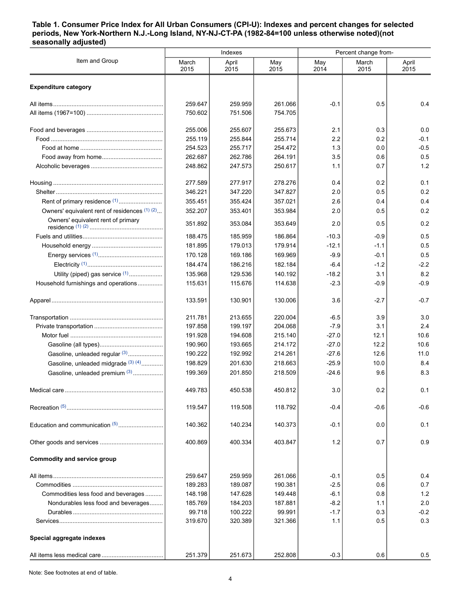#### <span id="page-3-0"></span>**Table 1. Consumer Price Index for All Urban Consumers (CPI-U): Indexes and percent changes for selected periods, New York-Northern N.J.-Long Island, NY-NJ-CT-PA (1982-84=100 unless otherwise noted)(not seasonally adjusted)**

| Item and Group<br>March<br>April<br>May<br>March<br>April<br>May<br>2015<br>2015<br>2015<br>2014<br>2015<br>2015<br><b>Expenditure category</b><br>0.4<br>259.647<br>259.959<br>261.066<br>$-0.1$<br>0.5<br>750.602<br>751.506<br>754.705<br>255.006<br>255.607<br>255.673<br>2.1<br>0.3<br>0.0<br>2.2<br>0.2<br>255.119<br>255.844<br>255.714<br>$-0.1$<br>1.3<br>$-0.5$<br>254.523<br>255.717<br>254.472<br>0.0<br>3.5<br>0.5<br>262.687<br>262.786<br>264.191<br>0.6<br>1.2<br>0.7<br>248.862<br>247.573<br>250.617<br>1.1<br>277.589<br>277.917<br>278.276<br>0.4<br>0.2<br>0.1<br>0.2<br>346.221<br>347.220<br>347.827<br>2.0<br>0.5<br>Rent of primary residence <sup>(1)</sup><br>0.4<br>355.451<br>355.424<br>357.021<br>2.6<br>0.4<br>Owners' equivalent rent of residences (1) (2)<br>0.2<br>352.207<br>2.0<br>0.5<br>353.401<br>353.984<br>Owners' equivalent rent of primary<br>0.2<br>351.892<br>353.084<br>353.649<br>2.0<br>0.5<br>188.475<br>185.959<br>0.5<br>186.864<br>$-10.3$<br>$-0.9$<br>181.895<br>179.013<br>179.914<br>0.5<br>$-12.1$<br>$-1.1$<br>0.5<br>170.128<br>169.186<br>169.969<br>$-9.9$<br>$-0.1$<br>$-1.2$<br>$-2.2$<br>184.474<br>186.216<br>182.184<br>$-6.4$<br>8.2<br>Utility (piped) gas service (1)<br>3.1<br>135.968<br>129.536<br>140.192<br>$-18.2$<br>$-2.3$<br>$-0.9$<br>Household furnishings and operations<br>115.631<br>115.676<br>114.638<br>$-0.9$<br>$-0.7$<br>133.591<br>130.901<br>130.006<br>3.6<br>$-2.7$<br>211.781<br>213.655<br>220.004<br>$-6.5$<br>3.9<br>3.0<br>$-7.9$<br>2.4<br>197.858<br>199.197<br>204.068<br>3.1<br>191.928<br>194.608<br>215.140<br>$-27.0$<br>12.1<br>10.6<br>10.6<br>190.960<br>193.665<br>214.172<br>$-27.0$<br>12.2<br>Gasoline, unleaded regular (3)<br>11.0<br>190.222<br>192.992<br>214.261<br>$-27.6$<br>12.6<br>Gasoline, unleaded midgrade (3) (4)<br>198.829<br>8.4<br>201.630<br>218.663<br>$-25.9$<br>10.0<br>Gasoline, unleaded premium (3)<br>8.3<br>199.369<br>201.850<br>218.509<br>$-24.6$<br>9.6<br>0.2<br>449.783<br>450.538<br>450.812<br>3.0<br>0.1<br>$-0.6$<br>119.547<br>119.508<br>118.792<br>$-0.4$<br>$-0.6$<br>0.1<br>140.362<br>140.234<br>140.373<br>$-0.1$<br>0.0<br>1.2<br>0.9<br>400.869<br>400.334<br>403.847<br>0.7<br><b>Commodity and service group</b><br>259.647<br>0.5<br>259.959<br>261.066<br>$-0.1$<br>0.4<br>189.283<br>189.087<br>190.381<br>$-2.5$<br>0.6<br>0.7<br>Commodities less food and beverages<br>148.198<br>1.2<br>147.628<br>149.448<br>$-6.1$<br>0.8<br>Nondurables less food and beverages<br>185.769<br>184.203<br>$-8.2$<br>2.0<br>187.881<br>1.1<br>99.718<br>100.222<br>99.991<br>$-1.7$<br>$-0.2$<br>0.3<br>319.670<br>0.5<br>0.3<br>320.389<br>321.366<br>1.1<br>Special aggregate indexes |         | Indexes |         | Percent change from- |     |     |  |
|----------------------------------------------------------------------------------------------------------------------------------------------------------------------------------------------------------------------------------------------------------------------------------------------------------------------------------------------------------------------------------------------------------------------------------------------------------------------------------------------------------------------------------------------------------------------------------------------------------------------------------------------------------------------------------------------------------------------------------------------------------------------------------------------------------------------------------------------------------------------------------------------------------------------------------------------------------------------------------------------------------------------------------------------------------------------------------------------------------------------------------------------------------------------------------------------------------------------------------------------------------------------------------------------------------------------------------------------------------------------------------------------------------------------------------------------------------------------------------------------------------------------------------------------------------------------------------------------------------------------------------------------------------------------------------------------------------------------------------------------------------------------------------------------------------------------------------------------------------------------------------------------------------------------------------------------------------------------------------------------------------------------------------------------------------------------------------------------------------------------------------------------------------------------------------------------------------------------------------------------------------------------------------------------------------------------------------------------------------------------------------------------------------------------------------------------------------------------------------------------------------------------------------------------------------------------------------------------------------------------------------------------------------------------------------------------------------------------------------------------------|---------|---------|---------|----------------------|-----|-----|--|
|                                                                                                                                                                                                                                                                                                                                                                                                                                                                                                                                                                                                                                                                                                                                                                                                                                                                                                                                                                                                                                                                                                                                                                                                                                                                                                                                                                                                                                                                                                                                                                                                                                                                                                                                                                                                                                                                                                                                                                                                                                                                                                                                                                                                                                                                                                                                                                                                                                                                                                                                                                                                                                                                                                                                                    |         |         |         |                      |     |     |  |
|                                                                                                                                                                                                                                                                                                                                                                                                                                                                                                                                                                                                                                                                                                                                                                                                                                                                                                                                                                                                                                                                                                                                                                                                                                                                                                                                                                                                                                                                                                                                                                                                                                                                                                                                                                                                                                                                                                                                                                                                                                                                                                                                                                                                                                                                                                                                                                                                                                                                                                                                                                                                                                                                                                                                                    |         |         |         |                      |     |     |  |
|                                                                                                                                                                                                                                                                                                                                                                                                                                                                                                                                                                                                                                                                                                                                                                                                                                                                                                                                                                                                                                                                                                                                                                                                                                                                                                                                                                                                                                                                                                                                                                                                                                                                                                                                                                                                                                                                                                                                                                                                                                                                                                                                                                                                                                                                                                                                                                                                                                                                                                                                                                                                                                                                                                                                                    |         |         |         |                      |     |     |  |
|                                                                                                                                                                                                                                                                                                                                                                                                                                                                                                                                                                                                                                                                                                                                                                                                                                                                                                                                                                                                                                                                                                                                                                                                                                                                                                                                                                                                                                                                                                                                                                                                                                                                                                                                                                                                                                                                                                                                                                                                                                                                                                                                                                                                                                                                                                                                                                                                                                                                                                                                                                                                                                                                                                                                                    |         |         |         |                      |     |     |  |
|                                                                                                                                                                                                                                                                                                                                                                                                                                                                                                                                                                                                                                                                                                                                                                                                                                                                                                                                                                                                                                                                                                                                                                                                                                                                                                                                                                                                                                                                                                                                                                                                                                                                                                                                                                                                                                                                                                                                                                                                                                                                                                                                                                                                                                                                                                                                                                                                                                                                                                                                                                                                                                                                                                                                                    |         |         |         |                      |     |     |  |
|                                                                                                                                                                                                                                                                                                                                                                                                                                                                                                                                                                                                                                                                                                                                                                                                                                                                                                                                                                                                                                                                                                                                                                                                                                                                                                                                                                                                                                                                                                                                                                                                                                                                                                                                                                                                                                                                                                                                                                                                                                                                                                                                                                                                                                                                                                                                                                                                                                                                                                                                                                                                                                                                                                                                                    |         |         |         |                      |     |     |  |
|                                                                                                                                                                                                                                                                                                                                                                                                                                                                                                                                                                                                                                                                                                                                                                                                                                                                                                                                                                                                                                                                                                                                                                                                                                                                                                                                                                                                                                                                                                                                                                                                                                                                                                                                                                                                                                                                                                                                                                                                                                                                                                                                                                                                                                                                                                                                                                                                                                                                                                                                                                                                                                                                                                                                                    |         |         |         |                      |     |     |  |
|                                                                                                                                                                                                                                                                                                                                                                                                                                                                                                                                                                                                                                                                                                                                                                                                                                                                                                                                                                                                                                                                                                                                                                                                                                                                                                                                                                                                                                                                                                                                                                                                                                                                                                                                                                                                                                                                                                                                                                                                                                                                                                                                                                                                                                                                                                                                                                                                                                                                                                                                                                                                                                                                                                                                                    |         |         |         |                      |     |     |  |
|                                                                                                                                                                                                                                                                                                                                                                                                                                                                                                                                                                                                                                                                                                                                                                                                                                                                                                                                                                                                                                                                                                                                                                                                                                                                                                                                                                                                                                                                                                                                                                                                                                                                                                                                                                                                                                                                                                                                                                                                                                                                                                                                                                                                                                                                                                                                                                                                                                                                                                                                                                                                                                                                                                                                                    |         |         |         |                      |     |     |  |
|                                                                                                                                                                                                                                                                                                                                                                                                                                                                                                                                                                                                                                                                                                                                                                                                                                                                                                                                                                                                                                                                                                                                                                                                                                                                                                                                                                                                                                                                                                                                                                                                                                                                                                                                                                                                                                                                                                                                                                                                                                                                                                                                                                                                                                                                                                                                                                                                                                                                                                                                                                                                                                                                                                                                                    |         |         |         |                      |     |     |  |
|                                                                                                                                                                                                                                                                                                                                                                                                                                                                                                                                                                                                                                                                                                                                                                                                                                                                                                                                                                                                                                                                                                                                                                                                                                                                                                                                                                                                                                                                                                                                                                                                                                                                                                                                                                                                                                                                                                                                                                                                                                                                                                                                                                                                                                                                                                                                                                                                                                                                                                                                                                                                                                                                                                                                                    |         |         |         |                      |     |     |  |
|                                                                                                                                                                                                                                                                                                                                                                                                                                                                                                                                                                                                                                                                                                                                                                                                                                                                                                                                                                                                                                                                                                                                                                                                                                                                                                                                                                                                                                                                                                                                                                                                                                                                                                                                                                                                                                                                                                                                                                                                                                                                                                                                                                                                                                                                                                                                                                                                                                                                                                                                                                                                                                                                                                                                                    |         |         |         |                      |     |     |  |
|                                                                                                                                                                                                                                                                                                                                                                                                                                                                                                                                                                                                                                                                                                                                                                                                                                                                                                                                                                                                                                                                                                                                                                                                                                                                                                                                                                                                                                                                                                                                                                                                                                                                                                                                                                                                                                                                                                                                                                                                                                                                                                                                                                                                                                                                                                                                                                                                                                                                                                                                                                                                                                                                                                                                                    |         |         |         |                      |     |     |  |
|                                                                                                                                                                                                                                                                                                                                                                                                                                                                                                                                                                                                                                                                                                                                                                                                                                                                                                                                                                                                                                                                                                                                                                                                                                                                                                                                                                                                                                                                                                                                                                                                                                                                                                                                                                                                                                                                                                                                                                                                                                                                                                                                                                                                                                                                                                                                                                                                                                                                                                                                                                                                                                                                                                                                                    |         |         |         |                      |     |     |  |
|                                                                                                                                                                                                                                                                                                                                                                                                                                                                                                                                                                                                                                                                                                                                                                                                                                                                                                                                                                                                                                                                                                                                                                                                                                                                                                                                                                                                                                                                                                                                                                                                                                                                                                                                                                                                                                                                                                                                                                                                                                                                                                                                                                                                                                                                                                                                                                                                                                                                                                                                                                                                                                                                                                                                                    |         |         |         |                      |     |     |  |
|                                                                                                                                                                                                                                                                                                                                                                                                                                                                                                                                                                                                                                                                                                                                                                                                                                                                                                                                                                                                                                                                                                                                                                                                                                                                                                                                                                                                                                                                                                                                                                                                                                                                                                                                                                                                                                                                                                                                                                                                                                                                                                                                                                                                                                                                                                                                                                                                                                                                                                                                                                                                                                                                                                                                                    |         |         |         |                      |     |     |  |
|                                                                                                                                                                                                                                                                                                                                                                                                                                                                                                                                                                                                                                                                                                                                                                                                                                                                                                                                                                                                                                                                                                                                                                                                                                                                                                                                                                                                                                                                                                                                                                                                                                                                                                                                                                                                                                                                                                                                                                                                                                                                                                                                                                                                                                                                                                                                                                                                                                                                                                                                                                                                                                                                                                                                                    |         |         |         |                      |     |     |  |
|                                                                                                                                                                                                                                                                                                                                                                                                                                                                                                                                                                                                                                                                                                                                                                                                                                                                                                                                                                                                                                                                                                                                                                                                                                                                                                                                                                                                                                                                                                                                                                                                                                                                                                                                                                                                                                                                                                                                                                                                                                                                                                                                                                                                                                                                                                                                                                                                                                                                                                                                                                                                                                                                                                                                                    |         |         |         |                      |     |     |  |
|                                                                                                                                                                                                                                                                                                                                                                                                                                                                                                                                                                                                                                                                                                                                                                                                                                                                                                                                                                                                                                                                                                                                                                                                                                                                                                                                                                                                                                                                                                                                                                                                                                                                                                                                                                                                                                                                                                                                                                                                                                                                                                                                                                                                                                                                                                                                                                                                                                                                                                                                                                                                                                                                                                                                                    |         |         |         |                      |     |     |  |
|                                                                                                                                                                                                                                                                                                                                                                                                                                                                                                                                                                                                                                                                                                                                                                                                                                                                                                                                                                                                                                                                                                                                                                                                                                                                                                                                                                                                                                                                                                                                                                                                                                                                                                                                                                                                                                                                                                                                                                                                                                                                                                                                                                                                                                                                                                                                                                                                                                                                                                                                                                                                                                                                                                                                                    |         |         |         |                      |     |     |  |
|                                                                                                                                                                                                                                                                                                                                                                                                                                                                                                                                                                                                                                                                                                                                                                                                                                                                                                                                                                                                                                                                                                                                                                                                                                                                                                                                                                                                                                                                                                                                                                                                                                                                                                                                                                                                                                                                                                                                                                                                                                                                                                                                                                                                                                                                                                                                                                                                                                                                                                                                                                                                                                                                                                                                                    |         |         |         |                      |     |     |  |
|                                                                                                                                                                                                                                                                                                                                                                                                                                                                                                                                                                                                                                                                                                                                                                                                                                                                                                                                                                                                                                                                                                                                                                                                                                                                                                                                                                                                                                                                                                                                                                                                                                                                                                                                                                                                                                                                                                                                                                                                                                                                                                                                                                                                                                                                                                                                                                                                                                                                                                                                                                                                                                                                                                                                                    |         |         |         |                      |     |     |  |
|                                                                                                                                                                                                                                                                                                                                                                                                                                                                                                                                                                                                                                                                                                                                                                                                                                                                                                                                                                                                                                                                                                                                                                                                                                                                                                                                                                                                                                                                                                                                                                                                                                                                                                                                                                                                                                                                                                                                                                                                                                                                                                                                                                                                                                                                                                                                                                                                                                                                                                                                                                                                                                                                                                                                                    |         |         |         |                      |     |     |  |
|                                                                                                                                                                                                                                                                                                                                                                                                                                                                                                                                                                                                                                                                                                                                                                                                                                                                                                                                                                                                                                                                                                                                                                                                                                                                                                                                                                                                                                                                                                                                                                                                                                                                                                                                                                                                                                                                                                                                                                                                                                                                                                                                                                                                                                                                                                                                                                                                                                                                                                                                                                                                                                                                                                                                                    |         |         |         |                      |     |     |  |
|                                                                                                                                                                                                                                                                                                                                                                                                                                                                                                                                                                                                                                                                                                                                                                                                                                                                                                                                                                                                                                                                                                                                                                                                                                                                                                                                                                                                                                                                                                                                                                                                                                                                                                                                                                                                                                                                                                                                                                                                                                                                                                                                                                                                                                                                                                                                                                                                                                                                                                                                                                                                                                                                                                                                                    |         |         |         |                      |     |     |  |
|                                                                                                                                                                                                                                                                                                                                                                                                                                                                                                                                                                                                                                                                                                                                                                                                                                                                                                                                                                                                                                                                                                                                                                                                                                                                                                                                                                                                                                                                                                                                                                                                                                                                                                                                                                                                                                                                                                                                                                                                                                                                                                                                                                                                                                                                                                                                                                                                                                                                                                                                                                                                                                                                                                                                                    |         |         |         |                      |     |     |  |
|                                                                                                                                                                                                                                                                                                                                                                                                                                                                                                                                                                                                                                                                                                                                                                                                                                                                                                                                                                                                                                                                                                                                                                                                                                                                                                                                                                                                                                                                                                                                                                                                                                                                                                                                                                                                                                                                                                                                                                                                                                                                                                                                                                                                                                                                                                                                                                                                                                                                                                                                                                                                                                                                                                                                                    |         |         |         |                      |     |     |  |
|                                                                                                                                                                                                                                                                                                                                                                                                                                                                                                                                                                                                                                                                                                                                                                                                                                                                                                                                                                                                                                                                                                                                                                                                                                                                                                                                                                                                                                                                                                                                                                                                                                                                                                                                                                                                                                                                                                                                                                                                                                                                                                                                                                                                                                                                                                                                                                                                                                                                                                                                                                                                                                                                                                                                                    |         |         |         |                      |     |     |  |
|                                                                                                                                                                                                                                                                                                                                                                                                                                                                                                                                                                                                                                                                                                                                                                                                                                                                                                                                                                                                                                                                                                                                                                                                                                                                                                                                                                                                                                                                                                                                                                                                                                                                                                                                                                                                                                                                                                                                                                                                                                                                                                                                                                                                                                                                                                                                                                                                                                                                                                                                                                                                                                                                                                                                                    |         |         |         |                      |     |     |  |
|                                                                                                                                                                                                                                                                                                                                                                                                                                                                                                                                                                                                                                                                                                                                                                                                                                                                                                                                                                                                                                                                                                                                                                                                                                                                                                                                                                                                                                                                                                                                                                                                                                                                                                                                                                                                                                                                                                                                                                                                                                                                                                                                                                                                                                                                                                                                                                                                                                                                                                                                                                                                                                                                                                                                                    |         |         |         |                      |     |     |  |
|                                                                                                                                                                                                                                                                                                                                                                                                                                                                                                                                                                                                                                                                                                                                                                                                                                                                                                                                                                                                                                                                                                                                                                                                                                                                                                                                                                                                                                                                                                                                                                                                                                                                                                                                                                                                                                                                                                                                                                                                                                                                                                                                                                                                                                                                                                                                                                                                                                                                                                                                                                                                                                                                                                                                                    |         |         |         |                      |     |     |  |
|                                                                                                                                                                                                                                                                                                                                                                                                                                                                                                                                                                                                                                                                                                                                                                                                                                                                                                                                                                                                                                                                                                                                                                                                                                                                                                                                                                                                                                                                                                                                                                                                                                                                                                                                                                                                                                                                                                                                                                                                                                                                                                                                                                                                                                                                                                                                                                                                                                                                                                                                                                                                                                                                                                                                                    |         |         |         |                      |     |     |  |
|                                                                                                                                                                                                                                                                                                                                                                                                                                                                                                                                                                                                                                                                                                                                                                                                                                                                                                                                                                                                                                                                                                                                                                                                                                                                                                                                                                                                                                                                                                                                                                                                                                                                                                                                                                                                                                                                                                                                                                                                                                                                                                                                                                                                                                                                                                                                                                                                                                                                                                                                                                                                                                                                                                                                                    |         |         |         |                      |     |     |  |
|                                                                                                                                                                                                                                                                                                                                                                                                                                                                                                                                                                                                                                                                                                                                                                                                                                                                                                                                                                                                                                                                                                                                                                                                                                                                                                                                                                                                                                                                                                                                                                                                                                                                                                                                                                                                                                                                                                                                                                                                                                                                                                                                                                                                                                                                                                                                                                                                                                                                                                                                                                                                                                                                                                                                                    |         |         |         |                      |     |     |  |
|                                                                                                                                                                                                                                                                                                                                                                                                                                                                                                                                                                                                                                                                                                                                                                                                                                                                                                                                                                                                                                                                                                                                                                                                                                                                                                                                                                                                                                                                                                                                                                                                                                                                                                                                                                                                                                                                                                                                                                                                                                                                                                                                                                                                                                                                                                                                                                                                                                                                                                                                                                                                                                                                                                                                                    |         |         |         |                      |     |     |  |
|                                                                                                                                                                                                                                                                                                                                                                                                                                                                                                                                                                                                                                                                                                                                                                                                                                                                                                                                                                                                                                                                                                                                                                                                                                                                                                                                                                                                                                                                                                                                                                                                                                                                                                                                                                                                                                                                                                                                                                                                                                                                                                                                                                                                                                                                                                                                                                                                                                                                                                                                                                                                                                                                                                                                                    |         |         |         |                      |     |     |  |
|                                                                                                                                                                                                                                                                                                                                                                                                                                                                                                                                                                                                                                                                                                                                                                                                                                                                                                                                                                                                                                                                                                                                                                                                                                                                                                                                                                                                                                                                                                                                                                                                                                                                                                                                                                                                                                                                                                                                                                                                                                                                                                                                                                                                                                                                                                                                                                                                                                                                                                                                                                                                                                                                                                                                                    |         |         |         |                      |     |     |  |
|                                                                                                                                                                                                                                                                                                                                                                                                                                                                                                                                                                                                                                                                                                                                                                                                                                                                                                                                                                                                                                                                                                                                                                                                                                                                                                                                                                                                                                                                                                                                                                                                                                                                                                                                                                                                                                                                                                                                                                                                                                                                                                                                                                                                                                                                                                                                                                                                                                                                                                                                                                                                                                                                                                                                                    |         |         |         |                      |     |     |  |
|                                                                                                                                                                                                                                                                                                                                                                                                                                                                                                                                                                                                                                                                                                                                                                                                                                                                                                                                                                                                                                                                                                                                                                                                                                                                                                                                                                                                                                                                                                                                                                                                                                                                                                                                                                                                                                                                                                                                                                                                                                                                                                                                                                                                                                                                                                                                                                                                                                                                                                                                                                                                                                                                                                                                                    |         |         |         |                      |     |     |  |
|                                                                                                                                                                                                                                                                                                                                                                                                                                                                                                                                                                                                                                                                                                                                                                                                                                                                                                                                                                                                                                                                                                                                                                                                                                                                                                                                                                                                                                                                                                                                                                                                                                                                                                                                                                                                                                                                                                                                                                                                                                                                                                                                                                                                                                                                                                                                                                                                                                                                                                                                                                                                                                                                                                                                                    |         |         |         |                      |     |     |  |
|                                                                                                                                                                                                                                                                                                                                                                                                                                                                                                                                                                                                                                                                                                                                                                                                                                                                                                                                                                                                                                                                                                                                                                                                                                                                                                                                                                                                                                                                                                                                                                                                                                                                                                                                                                                                                                                                                                                                                                                                                                                                                                                                                                                                                                                                                                                                                                                                                                                                                                                                                                                                                                                                                                                                                    | 251.379 | 251.673 | 252.808 | $-0.3$               | 0.6 | 0.5 |  |

Note: See footnotes at end of table.